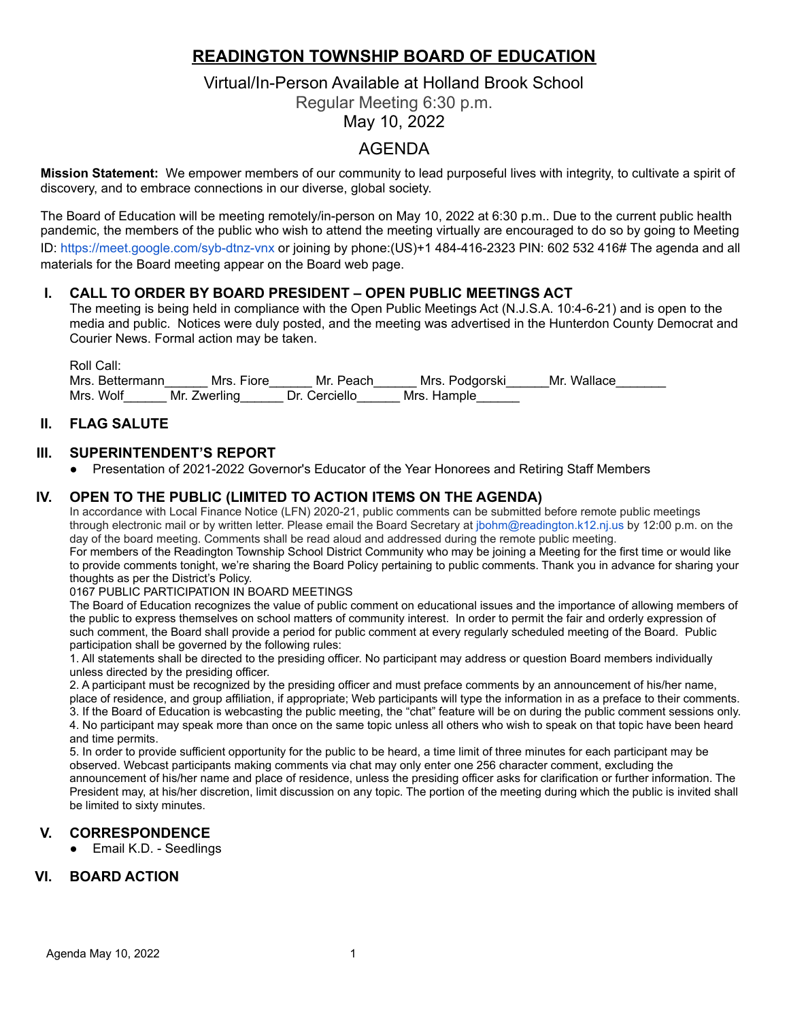# **READINGTON TOWNSHIP BOARD OF EDUCATION**

# Virtual/In-Person Available at Holland Brook School

Regular Meeting 6:30 p.m.

May 10, 2022

# AGENDA

**Mission Statement:** We empower members of our community to lead purposeful lives with integrity, to cultivate a spirit of discovery, and to embrace connections in our diverse, global society.

The Board of Education will be meeting remotely/in-person on May 10, 2022 at 6:30 p.m.. Due to the current public health pandemic, the members of the public who wish to attend the meeting virtually are encouraged to do so by going to Meeting ID: <https://meet.google.com/syb-dtnz-vnx> or joining by phone:(US)+1 484-416-2323 PIN: 602 532 416# The agenda and all materials for the Board meeting appear on the Board web page.

## **I. CALL TO ORDER BY BOARD PRESIDENT – OPEN PUBLIC MEETINGS ACT**

The meeting is being held in compliance with the Open Public Meetings Act (N.J.S.A. 10:4-6-21) and is open to the media and public. Notices were duly posted, and the meeting was advertised in the Hunterdon County Democrat and Courier News. Formal action may be taken.

Roll Call: Mrs. Bettermann\_\_\_\_\_\_\_ Mrs. Fiore\_\_\_\_\_\_ Mr. Peach\_\_\_\_\_\_ Mrs. Podgorski\_\_\_\_\_\_ Mr. Wallace\_\_\_\_\_\_\_ Mrs. Wolf \_\_\_\_\_\_ Mr. Zwerling \_\_\_\_\_ Dr. Cerciello \_\_\_\_\_\_ Mrs. Hample

## **II. FLAG SALUTE**

## **III. SUPERINTENDENT'S REPORT**

● Presentation of 2021-2022 Governor's Educator of the Year Honorees and Retiring Staff Members

#### **IV. OPEN TO THE PUBLIC (LIMITED TO ACTION ITEMS ON THE AGENDA)**

In accordance with Local Finance Notice (LFN) 2020-21, public comments can be submitted before remote public meetings through electronic mail or by written letter. Please email the Board Secretary at jbohm@readington.k12.nj.us by 12:00 p.m. on the day of the board meeting. Comments shall be read aloud and addressed during the remote public meeting. For members of the Readington Township School District Community who may be joining a Meeting for the first time or would like

to provide comments tonight, we're sharing the Board Policy pertaining to public comments. Thank you in advance for sharing your thoughts as per the District's Policy.

#### 0167 PUBLIC PARTICIPATION IN BOARD MEETINGS

The Board of Education recognizes the value of public comment on educational issues and the importance of allowing members of the public to express themselves on school matters of community interest. In order to permit the fair and orderly expression of such comment, the Board shall provide a period for public comment at every regularly scheduled meeting of the Board. Public participation shall be governed by the following rules:

1. All statements shall be directed to the presiding officer. No participant may address or question Board members individually unless directed by the presiding officer.

2. A participant must be recognized by the presiding officer and must preface comments by an announcement of his/her name, place of residence, and group affiliation, if appropriate; Web participants will type the information in as a preface to their comments. 3. If the Board of Education is webcasting the public meeting, the "chat" feature will be on during the public comment sessions only. 4. No participant may speak more than once on the same topic unless all others who wish to speak on that topic have been heard and time permits.

5. In order to provide sufficient opportunity for the public to be heard, a time limit of three minutes for each participant may be observed. Webcast participants making comments via chat may only enter one 256 character comment, excluding the announcement of his/her name and place of residence, unless the presiding officer asks for clarification or further information. The President may, at his/her discretion, limit discussion on any topic. The portion of the meeting during which the public is invited shall be limited to sixty minutes.

## **V. CORRESPONDENCE**

● Email K.D. - Seedlings

## **VI. BOARD ACTION**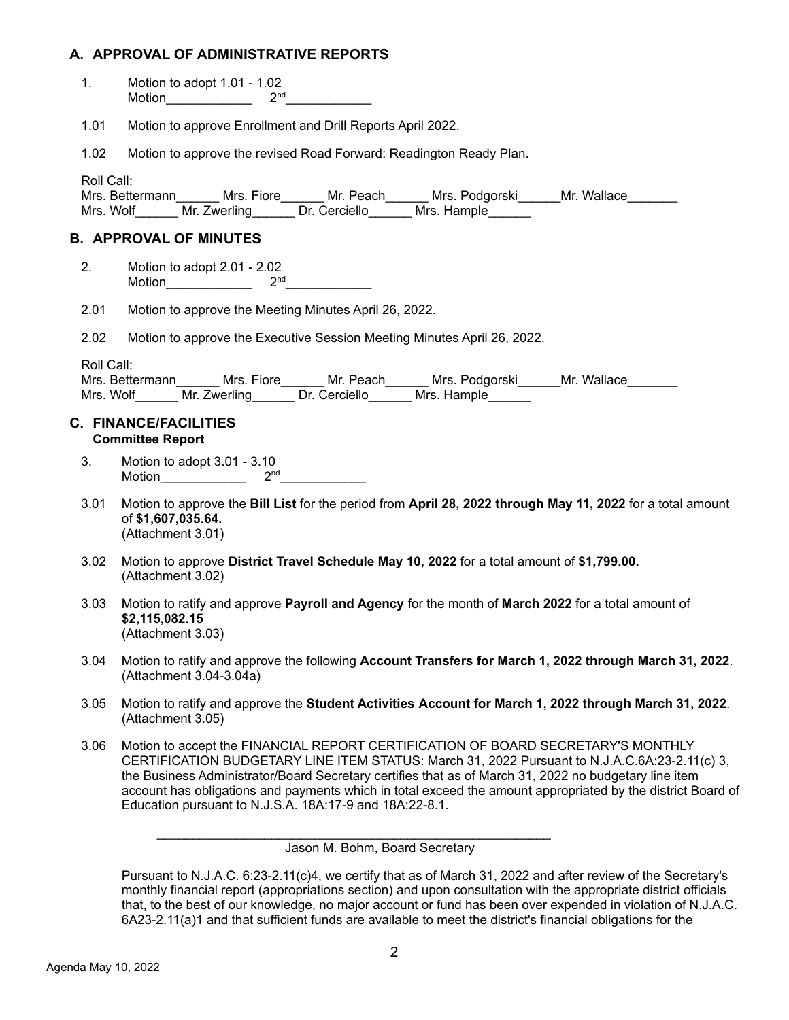# **A. APPROVAL OF ADMINISTRATIVE REPORTS**

| 1.         | Motion to adopt $1.01 - 1.02$<br>Motion $2^{nd}$ $2^{nd}$                                                                                                                                                                                                                                                                                                                                                                                                            |
|------------|----------------------------------------------------------------------------------------------------------------------------------------------------------------------------------------------------------------------------------------------------------------------------------------------------------------------------------------------------------------------------------------------------------------------------------------------------------------------|
| 1.01       | Motion to approve Enrollment and Drill Reports April 2022.                                                                                                                                                                                                                                                                                                                                                                                                           |
| 1.02       | Motion to approve the revised Road Forward: Readington Ready Plan.                                                                                                                                                                                                                                                                                                                                                                                                   |
| Roll Call: | Mrs. Bettermann_______ Mrs. Fiore_______ Mr. Peach______ Mrs. Podgorski______Mr. Wallace_________<br>Mrs. Wolf_______ Mr. Zwerling_______ Dr. Cerciello_______ Mrs. Hample_______                                                                                                                                                                                                                                                                                    |
|            | <b>B. APPROVAL OF MINUTES</b>                                                                                                                                                                                                                                                                                                                                                                                                                                        |
| 2.         | Motion to adopt 2.01 - 2.02<br>Motion $2^{nd}$ $2^{nd}$                                                                                                                                                                                                                                                                                                                                                                                                              |
| 2.01       | Motion to approve the Meeting Minutes April 26, 2022.                                                                                                                                                                                                                                                                                                                                                                                                                |
| 2.02       | Motion to approve the Executive Session Meeting Minutes April 26, 2022.                                                                                                                                                                                                                                                                                                                                                                                              |
| Roll Call: | Mrs. Bettermann_______ Mrs. Fiore_______ Mr. Peach______ Mrs. Podgorski______Mr. Wallace_______<br>Mrs. Wolf Mr. Zwerling Dr. Cerciello Mrs. Hample<br><b>C. FINANCE/FACILITIES</b>                                                                                                                                                                                                                                                                                  |
|            | <b>Committee Report</b>                                                                                                                                                                                                                                                                                                                                                                                                                                              |
| 3.         | Motion to adopt 3.01 - 3.10                                                                                                                                                                                                                                                                                                                                                                                                                                          |
| 3.01       | Motion to approve the Bill List for the period from April 28, 2022 through May 11, 2022 for a total amount<br>of \$1,607,035.64.<br>(Attachment 3.01)                                                                                                                                                                                                                                                                                                                |
| 3.02       | Motion to approve District Travel Schedule May 10, 2022 for a total amount of \$1,799.00.<br>(Attachment 3.02)                                                                                                                                                                                                                                                                                                                                                       |
| 3.03       | Motion to ratify and approve Payroll and Agency for the month of March 2022 for a total amount of<br>\$2,115,082.15<br>(Attachment 3.03)                                                                                                                                                                                                                                                                                                                             |
| 3.04       | Motion to ratify and approve the following Account Transfers for March 1, 2022 through March 31, 2022.<br>(Attachment 3.04-3.04a)                                                                                                                                                                                                                                                                                                                                    |
| 3.05       | Motion to ratify and approve the Student Activities Account for March 1, 2022 through March 31, 2022.<br>(Attachment 3.05)                                                                                                                                                                                                                                                                                                                                           |
| 3.06       | Motion to accept the FINANCIAL REPORT CERTIFICATION OF BOARD SECRETARY'S MONTHLY<br>CERTIFICATION BUDGETARY LINE ITEM STATUS: March 31, 2022 Pursuant to N.J.A.C.6A:23-2.11(c) 3,<br>the Business Administrator/Board Secretary certifies that as of March 31, 2022 no budgetary line item<br>account has obligations and payments which in total exceed the amount appropriated by the district Board of<br>Education pursuant to N.J.S.A. 18A:17-9 and 18A:22-8.1. |
|            | Jason M. Bohm, Board Secretary                                                                                                                                                                                                                                                                                                                                                                                                                                       |

Pursuant to N.J.A.C. 6:23-2.11(c)4, we certify that as of March 31, 2022 and after review of the Secretary's monthly financial report (appropriations section) and upon consultation with the appropriate district officials that, to the best of our knowledge, no major account or fund has been over expended in violation of N.J.A.C. 6A23-2.11(a)1 and that sufficient funds are available to meet the district's financial obligations for the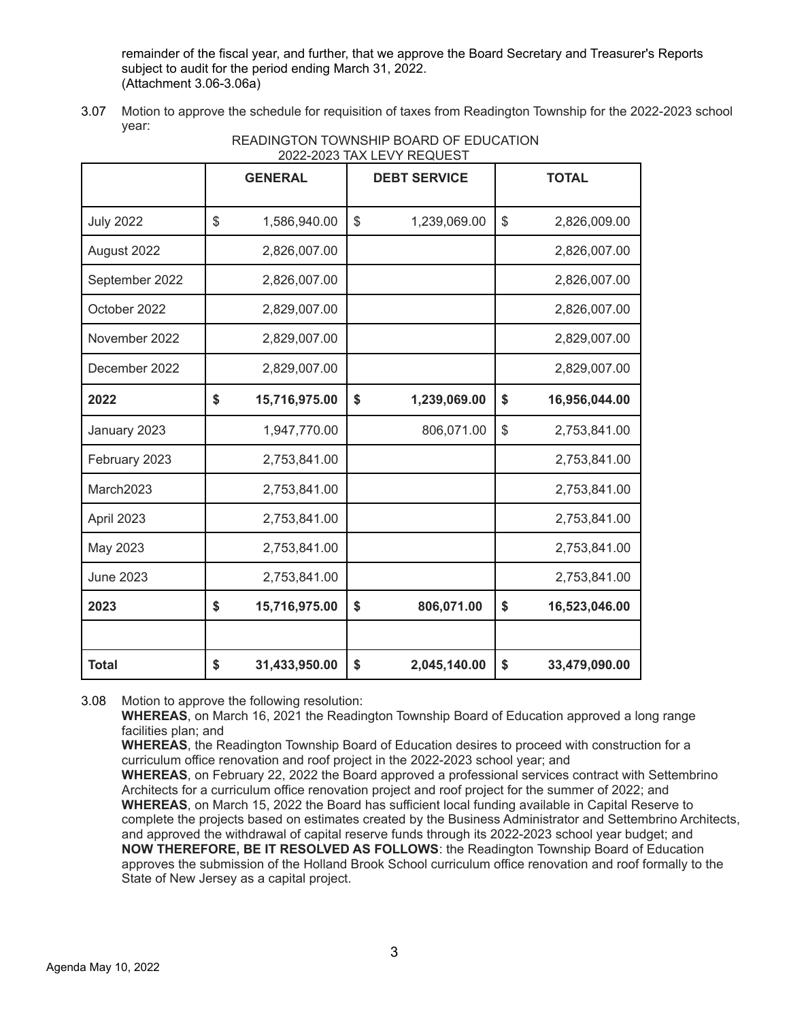remainder of the fiscal year, and further, that we approve the Board Secretary and Treasurer's Reports subject to audit for the period ending March 31, 2022. (Attachment 3.06-3.06a)

3.07 Motion to approve the schedule for requisition of taxes from Readington Township for the 2022-2023 school year:

|                  |    |                | 2022-2023 IAA LEVY REQUEST |                     |                     |
|------------------|----|----------------|----------------------------|---------------------|---------------------|
|                  |    | <b>GENERAL</b> |                            | <b>DEBT SERVICE</b> | <b>TOTAL</b>        |
| <b>July 2022</b> | \$ | 1,586,940.00   | \$                         | 1,239,069.00        | \$<br>2,826,009.00  |
| August 2022      |    | 2,826,007.00   |                            |                     | 2,826,007.00        |
| September 2022   |    | 2,826,007.00   |                            |                     | 2,826,007.00        |
| October 2022     |    | 2,829,007.00   |                            |                     | 2,826,007.00        |
| November 2022    |    | 2,829,007.00   |                            |                     | 2,829,007.00        |
| December 2022    |    | 2,829,007.00   |                            |                     | 2,829,007.00        |
| 2022             | \$ | 15,716,975.00  | \$                         | 1,239,069.00        | \$<br>16,956,044.00 |
| January 2023     |    | 1,947,770.00   |                            | 806,071.00          | \$<br>2,753,841.00  |
| February 2023    |    | 2,753,841.00   |                            |                     | 2,753,841.00        |
| March2023        |    | 2,753,841.00   |                            |                     | 2,753,841.00        |
| April 2023       |    | 2,753,841.00   |                            |                     | 2,753,841.00        |
| May 2023         |    | 2,753,841.00   |                            |                     | 2,753,841.00        |
| <b>June 2023</b> |    | 2,753,841.00   |                            |                     | 2,753,841.00        |
| 2023             | \$ | 15,716,975.00  | \$                         | 806,071.00          | \$<br>16,523,046.00 |
|                  |    |                |                            |                     |                     |
| <b>Total</b>     | \$ | 31,433,950.00  | \$                         | 2,045,140.00        | \$<br>33,479,090.00 |

# READINGTON TOWNSHIP BOARD OF EDUCATION 2022-2022 TAY LEVY REQUIRST

3.08 Motion to approve the following resolution:

**WHEREAS**, on March 16, 2021 the Readington Township Board of Education approved a long range facilities plan; and

**WHEREAS**, the Readington Township Board of Education desires to proceed with construction for a curriculum office renovation and roof project in the 2022-2023 school year; and

**WHEREAS**, on February 22, 2022 the Board approved a professional services contract with Settembrino Architects for a curriculum office renovation project and roof project for the summer of 2022; and **WHEREAS**, on March 15, 2022 the Board has sufficient local funding available in Capital Reserve to complete the projects based on estimates created by the Business Administrator and Settembrino Architects, and approved the withdrawal of capital reserve funds through its 2022-2023 school year budget; and **NOW THEREFORE, BE IT RESOLVED AS FOLLOWS**: the Readington Township Board of Education approves the submission of the Holland Brook School curriculum office renovation and roof formally to the State of New Jersey as a capital project.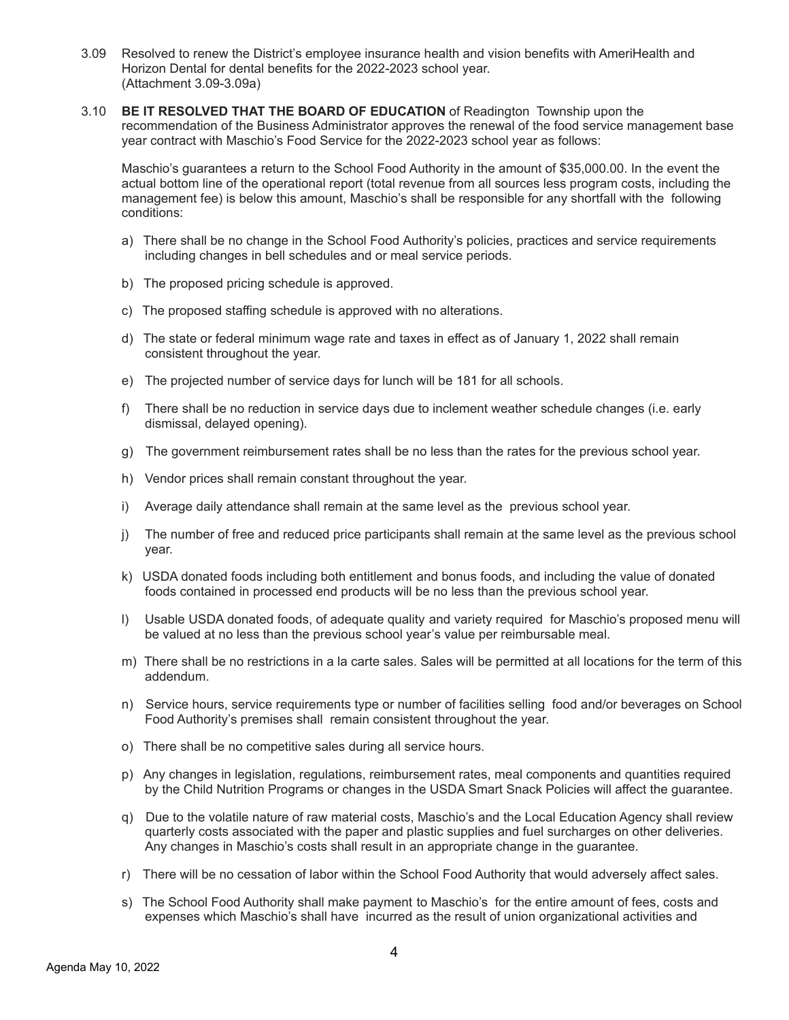- 3.09 Resolved to renew the District's employee insurance health and vision benefits with AmeriHealth and Horizon Dental for dental benefits for the 2022-2023 school year. (Attachment 3.09-3.09a)
- 3.10 **BE IT RESOLVED THAT THE BOARD OF EDUCATION** of Readington Township upon the recommendation of the Business Administrator approves the renewal of the food service management base year contract with Maschio's Food Service for the 2022-2023 school year as follows:

Maschio's guarantees a return to the School Food Authority in the amount of \$35,000.00. In the event the actual bottom line of the operational report (total revenue from all sources less program costs, including the management fee) is below this amount, Maschio's shall be responsible for any shortfall with the following conditions:

- a) There shall be no change in the School Food Authority's policies, practices and service requirements including changes in bell schedules and or meal service periods.
- b) The proposed pricing schedule is approved.
- c) The proposed staffing schedule is approved with no alterations.
- d) The state or federal minimum wage rate and taxes in effect as of January 1, 2022 shall remain consistent throughout the year.
- e) The projected number of service days for lunch will be 181 for all schools.
- f) There shall be no reduction in service days due to inclement weather schedule changes (i.e. early dismissal, delayed opening).
- g) The government reimbursement rates shall be no less than the rates for the previous school year.
- h) Vendor prices shall remain constant throughout the year.
- i) Average daily attendance shall remain at the same level as the previous school year.
- j) The number of free and reduced price participants shall remain at the same level as the previous school year.
- k) USDA donated foods including both entitlement and bonus foods, and including the value of donated foods contained in processed end products will be no less than the previous school year.
- l) Usable USDA donated foods, of adequate quality and variety required for Maschio's proposed menu will be valued at no less than the previous school year's value per reimbursable meal.
- m) There shall be no restrictions in a la carte sales. Sales will be permitted at all locations for the term of this addendum.
- n) Service hours, service requirements type or number of facilities selling food and/or beverages on School Food Authority's premises shall remain consistent throughout the year.
- o) There shall be no competitive sales during all service hours.
- p) Any changes in legislation, regulations, reimbursement rates, meal components and quantities required by the Child Nutrition Programs or changes in the USDA Smart Snack Policies will affect the guarantee.
- q) Due to the volatile nature of raw material costs, Maschio's and the Local Education Agency shall review quarterly costs associated with the paper and plastic supplies and fuel surcharges on other deliveries. Any changes in Maschio's costs shall result in an appropriate change in the guarantee.
- r) There will be no cessation of labor within the School Food Authority that would adversely affect sales.
- s) The School Food Authority shall make payment to Maschio's for the entire amount of fees, costs and expenses which Maschio's shall have incurred as the result of union organizational activities and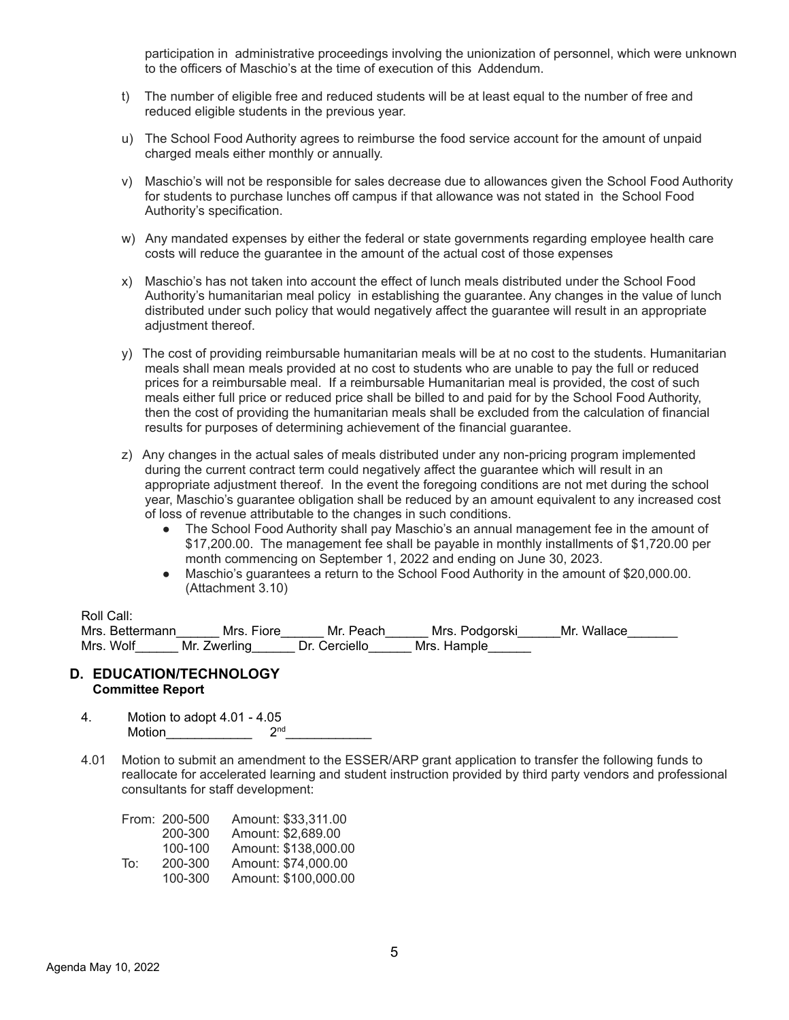participation in administrative proceedings involving the unionization of personnel, which were unknown to the officers of Maschio's at the time of execution of this Addendum.

- t) The number of eligible free and reduced students will be at least equal to the number of free and reduced eligible students in the previous year.
- u) The School Food Authority agrees to reimburse the food service account for the amount of unpaid charged meals either monthly or annually.
- v) Maschio's will not be responsible for sales decrease due to allowances given the School Food Authority for students to purchase lunches off campus if that allowance was not stated in the School Food Authority's specification.
- w) Any mandated expenses by either the federal or state governments regarding employee health care costs will reduce the guarantee in the amount of the actual cost of those expenses
- x) Maschio's has not taken into account the effect of lunch meals distributed under the School Food Authority's humanitarian meal policy in establishing the guarantee. Any changes in the value of lunch distributed under such policy that would negatively affect the guarantee will result in an appropriate adjustment thereof.
- y) The cost of providing reimbursable humanitarian meals will be at no cost to the students. Humanitarian meals shall mean meals provided at no cost to students who are unable to pay the full or reduced prices for a reimbursable meal. If a reimbursable Humanitarian meal is provided, the cost of such meals either full price or reduced price shall be billed to and paid for by the School Food Authority, then the cost of providing the humanitarian meals shall be excluded from the calculation of financial results for purposes of determining achievement of the financial guarantee.
- z) Any changes in the actual sales of meals distributed under any non-pricing program implemented during the current contract term could negatively affect the guarantee which will result in an appropriate adjustment thereof. In the event the foregoing conditions are not met during the school year, Maschio's guarantee obligation shall be reduced by an amount equivalent to any increased cost of loss of revenue attributable to the changes in such conditions.
	- The School Food Authority shall pay Maschio's an annual management fee in the amount of \$17,200.00. The management fee shall be payable in monthly installments of \$1,720.00 per month commencing on September 1, 2022 and ending on June 30, 2023.
	- Maschio's guarantees a return to the School Food Authority in the amount of \$20,000.00. (Attachment 3.10)

#### Roll Call:

| . |                 |              |               |                |             |
|---|-----------------|--------------|---------------|----------------|-------------|
|   | Mrs. Bettermann | Mrs. Fiore   | Mr. Peach     | Mrs. Podgorski | Mr. Wallace |
|   | Mrs. Wolf       | Mr. Zwerling | Dr. Cerciello | Mrs. Hample    |             |

#### **D. EDUCATION/TECHNOLOGY Committee Report**

- 4. Motion to adopt 4.01 4.05 Motion\_\_\_\_\_\_\_\_\_\_\_\_ 2  $2<sup>nd</sup>$
- 4.01 Motion to submit an amendment to the ESSER/ARP grant application to transfer the following funds to reallocate for accelerated learning and student instruction provided by third party vendors and professional consultants for staff development:

|     | From: 200-500 | Amount: \$33,311,00  |
|-----|---------------|----------------------|
|     | 200-300       | Amount: \$2,689.00   |
|     | 100-100       | Amount: \$138,000.00 |
| To∶ | 200-300       | Amount: \$74,000.00  |
|     | 100-300       | Amount: \$100,000.00 |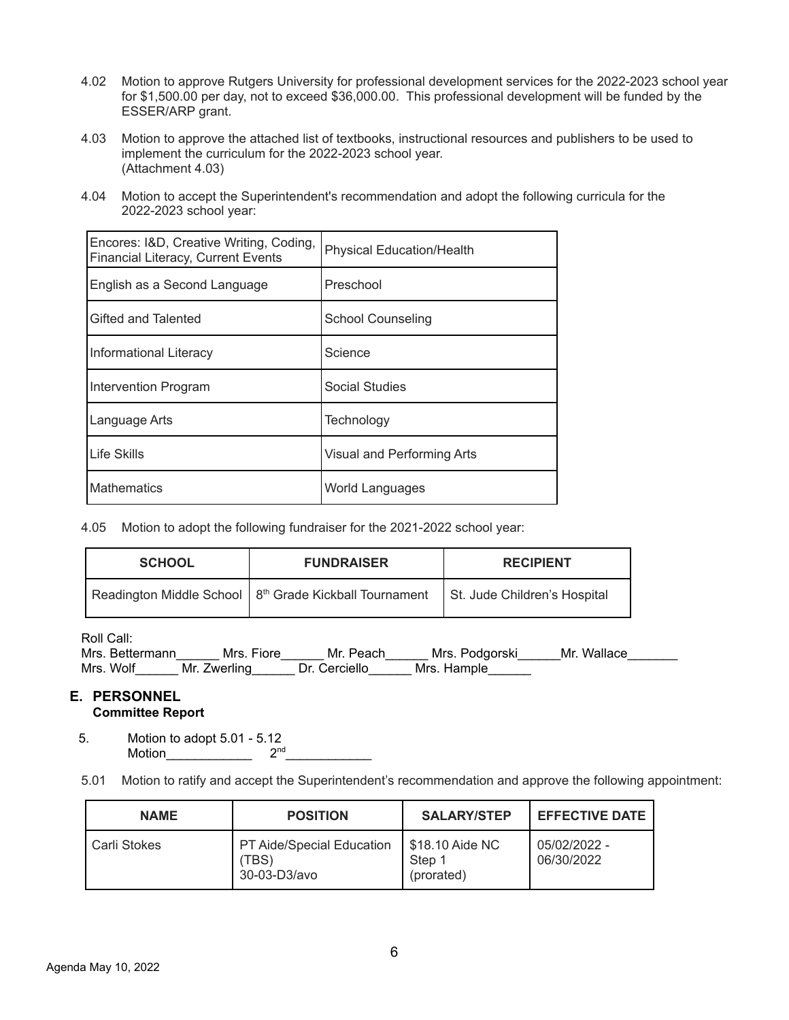- 4.02 Motion to approve Rutgers University for professional development services for the 2022-2023 school year for \$1,500.00 per day, not to exceed \$36,000.00. This professional development will be funded by the ESSER/ARP grant.
- 4.03 Motion to approve the attached list of textbooks, instructional resources and publishers to be used to implement the curriculum for the 2022-2023 school year. (Attachment 4.03)
- 4.04 Motion to accept the Superintendent's recommendation and adopt the following curricula for the 2022-2023 school year:

| Encores: I&D, Creative Writing, Coding,<br>Financial Literacy, Current Events | <b>Physical Education/Health</b> |
|-------------------------------------------------------------------------------|----------------------------------|
| English as a Second Language                                                  | Preschool                        |
| Gifted and Talented                                                           | <b>School Counseling</b>         |
| Informational Literacy                                                        | Science                          |
| Intervention Program                                                          | <b>Social Studies</b>            |
| Language Arts                                                                 | Technology                       |
| Life Skills                                                                   | Visual and Performing Arts       |
| <b>Mathematics</b>                                                            | World Languages                  |

4.05 Motion to adopt the following fundraiser for the 2021-2022 school year:

| <b>SCHOOL</b> | <b>FUNDRAISER</b>                                                                                   | <b>RECIPIENT</b> |
|---------------|-----------------------------------------------------------------------------------------------------|------------------|
|               | Readington Middle School   8 <sup>th</sup> Grade Kickball Tournament   St. Jude Children's Hospital |                  |

Roll Call:

| Mrs. Bettermann | Mrs. Fiore   | Mr. Peach     | Mrs. Podgorski | Mr. Wallace |
|-----------------|--------------|---------------|----------------|-------------|
| Mrs. Wolf       | Mr. Zwerling | Dr. Cerciello | Mrs. Hample    |             |

#### **E. PERSONNEL Committee Report**

5. Motion to adopt 5.01 - 5.12<br>Motion 2<sup>nd</sup> Motion **Exercise 20** nd\_\_\_\_\_\_\_\_\_\_\_\_

5.01 Motion to ratify and accept the Superintendent's recommendation and approve the following appointment:

| <b>NAME</b>  | <b>POSITION</b>                                          |                                         | <b>EFFECTIVE DATE</b>      |
|--------------|----------------------------------------------------------|-----------------------------------------|----------------------------|
| Carli Stokes | <b>PT Aide/Special Education</b><br>(TBS<br>30-03-D3/avo | \$18.10 Aide NC<br>Step 1<br>(prorated) | 05/02/2022 -<br>06/30/2022 |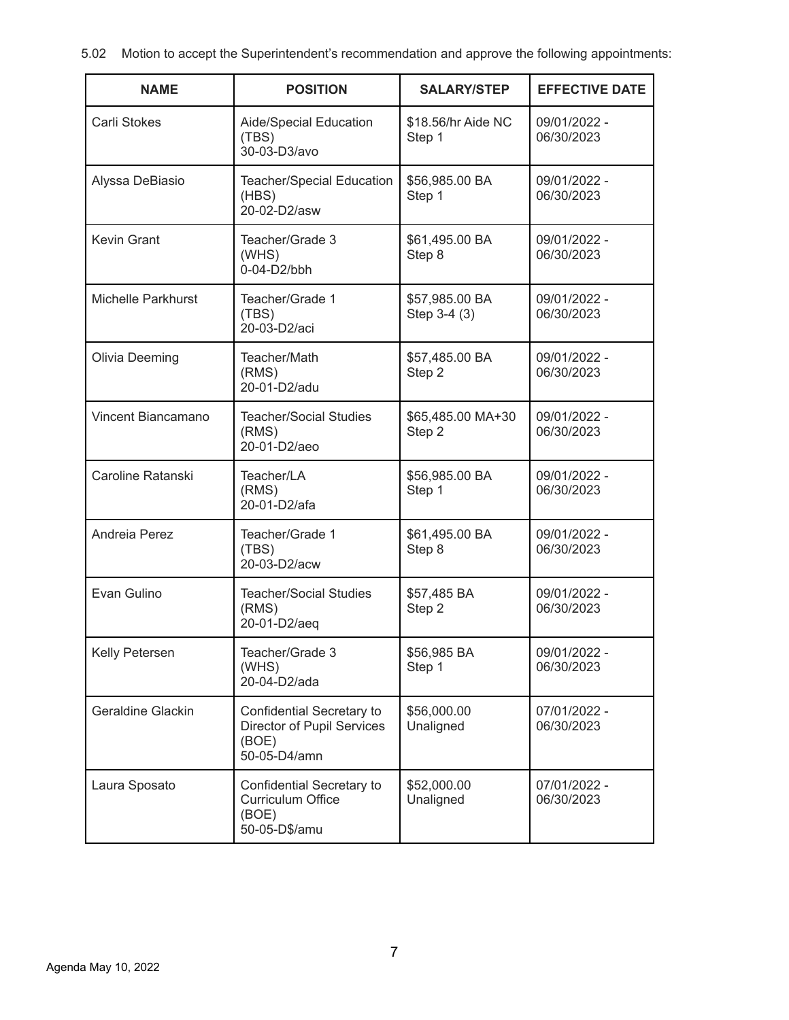5.02 Motion to accept the Superintendent's recommendation and approve the following appointments:

| <b>NAME</b>        | <b>POSITION</b>                                                                  | <b>SALARY/STEP</b>             | <b>EFFECTIVE DATE</b>      |
|--------------------|----------------------------------------------------------------------------------|--------------------------------|----------------------------|
| Carli Stokes       | Aide/Special Education<br>(TBS)<br>30-03-D3/avo                                  | \$18.56/hr Aide NC<br>Step 1   | 09/01/2022 -<br>06/30/2023 |
| Alyssa DeBiasio    | Teacher/Special Education<br>(HBS)<br>20-02-D2/asw                               | \$56,985.00 BA<br>Step 1       | 09/01/2022 -<br>06/30/2023 |
| <b>Kevin Grant</b> | Teacher/Grade 3<br>(WHS)<br>0-04-D2/bbh                                          | \$61,495.00 BA<br>Step 8       | 09/01/2022 -<br>06/30/2023 |
| Michelle Parkhurst | Teacher/Grade 1<br>(TBS)<br>20-03-D2/aci                                         | \$57,985.00 BA<br>Step 3-4 (3) | 09/01/2022 -<br>06/30/2023 |
| Olivia Deeming     | Teacher/Math<br>(RMS)<br>20-01-D2/adu                                            | \$57,485.00 BA<br>Step 2       | 09/01/2022 -<br>06/30/2023 |
| Vincent Biancamano | <b>Teacher/Social Studies</b><br>(RMS)<br>20-01-D2/aeo                           |                                | 09/01/2022 -<br>06/30/2023 |
| Caroline Ratanski  | Teacher/LA<br>(RMS)<br>20-01-D2/afa                                              | \$56,985.00 BA<br>Step 1       | 09/01/2022 -<br>06/30/2023 |
| Andreia Perez      | Teacher/Grade 1<br>(TBS)<br>20-03-D2/acw                                         | \$61,495.00 BA<br>Step 8       | 09/01/2022 -<br>06/30/2023 |
| Evan Gulino        | <b>Teacher/Social Studies</b><br>(RMS)<br>20-01-D2/aeq                           | \$57,485 BA<br>Step 2          | 09/01/2022 -<br>06/30/2023 |
| Kelly Petersen     | Teacher/Grade 3<br>(WHS)<br>20-04-D2/ada                                         | \$56,985 BA<br>Step 1          | 09/01/2022 -<br>06/30/2023 |
| Geraldine Glackin  | Confidential Secretary to<br>Director of Pupil Services<br>(BOE)<br>50-05-D4/amn | \$56,000.00<br>Unaligned       | 07/01/2022 -<br>06/30/2023 |
| Laura Sposato      | Confidential Secretary to<br><b>Curriculum Office</b><br>(BOE)<br>50-05-D\$/amu  | \$52,000.00<br>Unaligned       | 07/01/2022 -<br>06/30/2023 |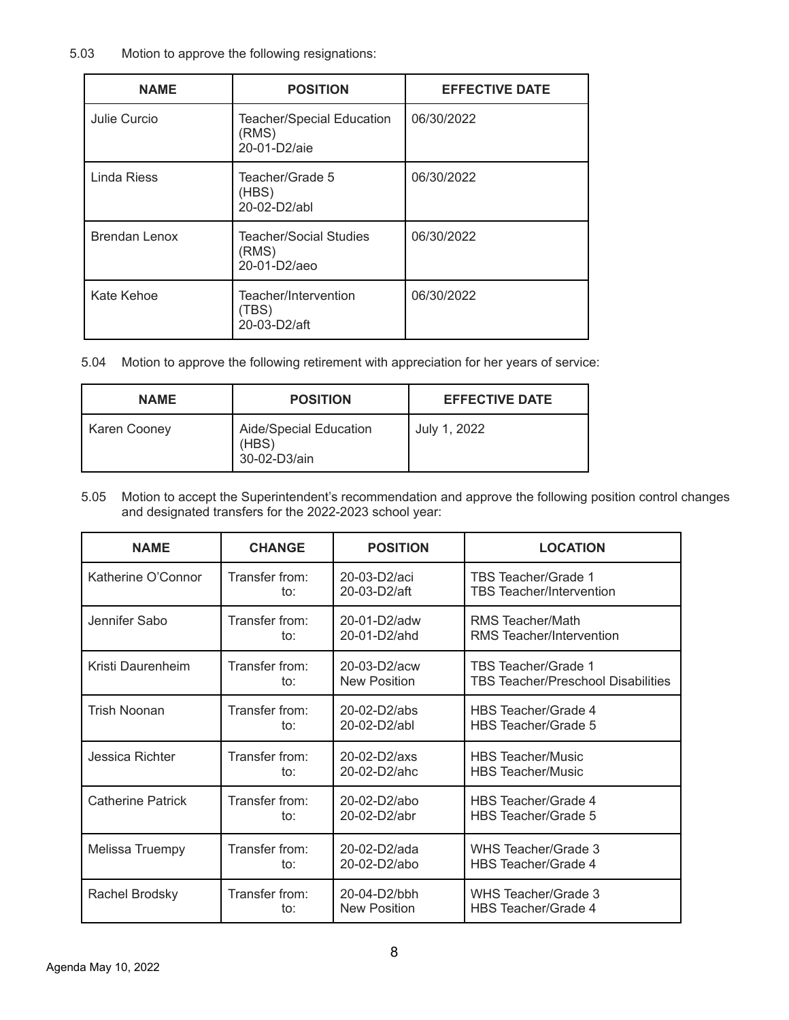## 5.03 Motion to approve the following resignations:

| <b>NAME</b>   | <b>POSITION</b>                                           | <b>EFFECTIVE DATE</b> |
|---------------|-----------------------------------------------------------|-----------------------|
| Julie Curcio  | <b>Teacher/Special Education</b><br>(RMS)<br>20-01-D2/aie | 06/30/2022            |
| Linda Riess   | Teacher/Grade 5<br>(HBS)<br>20-02-D2/abl                  | 06/30/2022            |
| Brendan Lenox | <b>Teacher/Social Studies</b><br>(RMS)<br>20-01-D2/aeo    | 06/30/2022            |
| Kate Kehoe    | Teacher/Intervention<br>(TBS)<br>20-03-D2/aft             | 06/30/2022            |

5.04 Motion to approve the following retirement with appreciation for her years of service:

| <b>NAME</b>  | <b>POSITION</b>                                 | <b>EFFECTIVE DATE</b> |
|--------------|-------------------------------------------------|-----------------------|
| Karen Cooney | Aide/Special Education<br>(HBS)<br>30-02-D3/ain | July 1, 2022          |

5.05 Motion to accept the Superintendent's recommendation and approve the following position control changes and designated transfers for the 2022-2023 school year:

| <b>NAME</b>              | <b>CHANGE</b>  | <b>POSITION</b>     | <b>LOCATION</b>                           |
|--------------------------|----------------|---------------------|-------------------------------------------|
| Katherine O'Connor       | Transfer from: | 20-03-D2/aci        | TBS Teacher/Grade 1                       |
|                          | to:            | 20-03-D2/aft        | <b>TBS</b> Teacher/Intervention           |
| Jennifer Sabo            | Transfer from: | 20-01-D2/adw        | RMS Teacher/Math                          |
|                          | to:            | $20 - 01 - D2$ /ahd | RMS Teacher/Intervention                  |
| Kristi Daurenheim        | Transfer from: | 20-03-D2/acw        | TBS Teacher/Grade 1                       |
|                          | to:            | <b>New Position</b> | <b>TBS Teacher/Preschool Disabilities</b> |
| Trish Noonan             | Transfer from: | 20-02-D2/abs        | HBS Teacher/Grade 4                       |
|                          | to:            | 20-02-D2/abl        | HBS Teacher/Grade 5                       |
| Jessica Richter          | Transfer from: | 20-02-D2/axs        | <b>HBS Teacher/Music</b>                  |
|                          | to:            | $20 - 02 - D2/abc$  | <b>HBS</b> Teacher/Music                  |
| <b>Catherine Patrick</b> | Transfer from: | 20-02-D2/abo        | HBS Teacher/Grade 4                       |
|                          | to:            | 20-02-D2/abr        | HBS Teacher/Grade 5                       |
| Melissa Truempy          | Transfer from: | $20-02-D2/ada$      | WHS Teacher/Grade 3                       |
|                          | to:            | 20-02-D2/abo        | HBS Teacher/Grade 4                       |
| Rachel Brodsky           | Transfer from: | 20-04-D2/bbh        | WHS Teacher/Grade 3                       |
|                          | to:            | New Position        | HBS Teacher/Grade 4                       |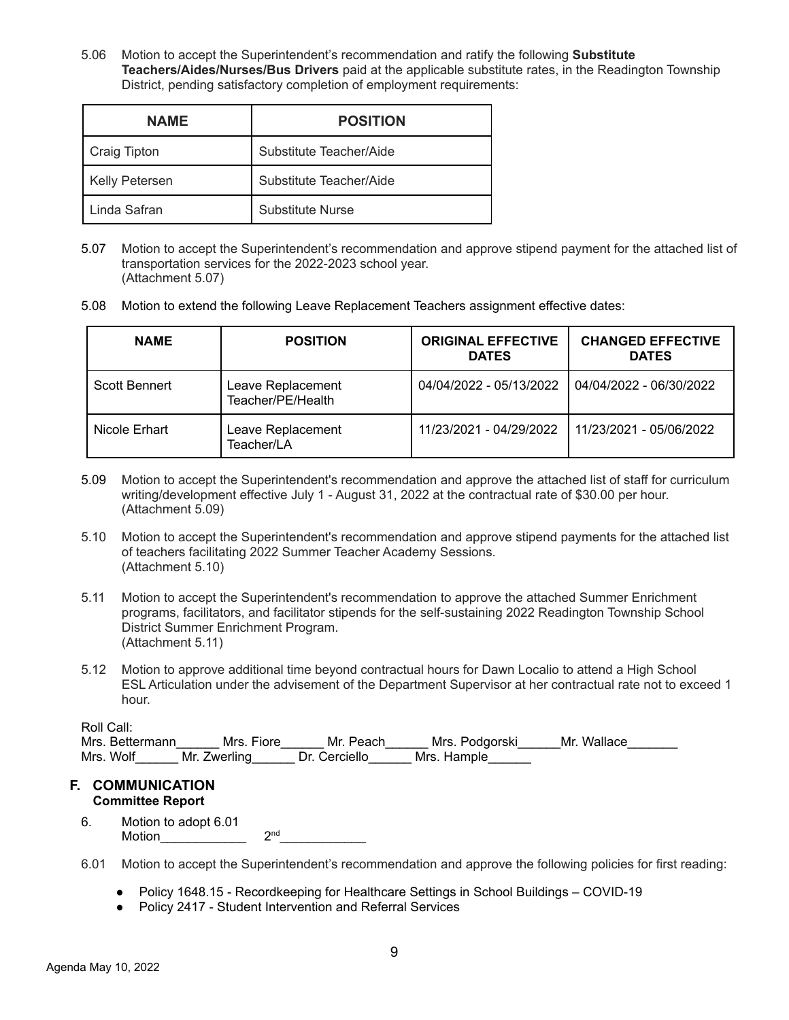5.06 Motion to accept the Superintendent's recommendation and ratify the following **Substitute Teachers/Aides/Nurses/Bus Drivers** paid at the applicable substitute rates, in the Readington Township District, pending satisfactory completion of employment requirements:

| <b>NAME</b>           | <b>POSITION</b>         |
|-----------------------|-------------------------|
| <b>Craig Tipton</b>   | Substitute Teacher/Aide |
| <b>Kelly Petersen</b> | Substitute Teacher/Aide |
| Linda Safran          | Substitute Nurse        |

- 5.07 Motion to accept the Superintendent's recommendation and approve stipend payment for the attached list of transportation services for the 2022-2023 school year. (Attachment 5.07)
- 5.08 Motion to extend the following Leave Replacement Teachers assignment effective dates:

| <b>NAME</b>          | <b>POSITION</b>                        | <b>ORIGINAL EFFECTIVE</b><br><b>DATES</b> | <b>CHANGED EFFECTIVE</b><br><b>DATES</b> |
|----------------------|----------------------------------------|-------------------------------------------|------------------------------------------|
| <b>Scott Bennert</b> | Leave Replacement<br>Teacher/PE/Health | 04/04/2022 - 05/13/2022                   | 04/04/2022 - 06/30/2022                  |
| Nicole Erhart        | Leave Replacement<br>Teacher/LA        | 11/23/2021 - 04/29/2022                   | 11/23/2021 - 05/06/2022                  |

- 5.09 Motion to accept the Superintendent's recommendation and approve the attached list of staff for curriculum writing/development effective July 1 - August 31, 2022 at the contractual rate of \$30.00 per hour. (Attachment 5.09)
- 5.10 Motion to accept the Superintendent's recommendation and approve stipend payments for the attached list of teachers facilitating 2022 Summer Teacher Academy Sessions. (Attachment 5.10)
- 5.11 Motion to accept the Superintendent's recommendation to approve the attached Summer Enrichment programs, facilitators, and facilitator stipends for the self-sustaining 2022 Readington Township School District Summer Enrichment Program. (Attachment 5.11)
- 5.12 Motion to approve additional time beyond contractual hours for Dawn Localio to attend a High School ESL Articulation under the advisement of the Department Supervisor at her contractual rate not to exceed 1 hour.

| Roll Call: |  |
|------------|--|
|            |  |
|            |  |

| . |                 |              |               |                |             |  |
|---|-----------------|--------------|---------------|----------------|-------------|--|
|   | Mrs. Bettermann | Mrs. Fiore   | Mr. Peach     | Mrs. Podgorski | Mr. Wallace |  |
|   | Mrs. Wolf       | Mr. Zwerling | Dr. Cerciello | Mrs. Hample    |             |  |

#### **F. COMMUNICATION Committee Report**

- 6. Motion to adopt 6.01 Motion\_\_\_\_\_\_\_\_\_\_\_\_ 2  $2<sup>nd</sup>$
- 6.01 Motion to accept the Superintendent's recommendation and approve the following policies for first reading:
	- Policy 1648.15 Recordkeeping for Healthcare Settings in School Buildings COVID-19
	- Policy 2417 Student Intervention and Referral Services